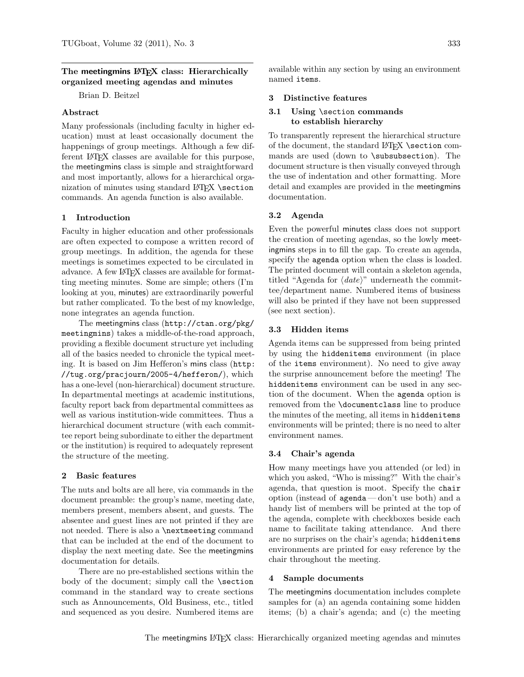# The meetingmins LAT<sub>EX</sub> class: Hierarchically organized meeting agendas and minutes

Brian D. Beitzel

# Abstract

Many professionals (including faculty in higher education) must at least occasionally document the happenings of group meetings. Although a few different LATEX classes are available for this purpose, the meetingmins class is simple and straightforward and most importantly, allows for a hierarchical organization of minutes using standard  $LATFX$  \section commands. An agenda function is also available.

#### 1 Introduction

Faculty in higher education and other professionals are often expected to compose a written record of group meetings. In addition, the agenda for these meetings is sometimes expected to be circulated in advance. A few LATEX classes are available for formatting meeting minutes. Some are simple; others (I'm looking at you, minutes) are extraordinarily powerful but rather complicated. To the best of my knowledge, none integrates an agenda function.

The meetingmins class ([http://ctan.org/pkg/](http://ctan.org/pkg/meetingmins) [meetingmins](http://ctan.org/pkg/meetingmins)) takes a middle-of-the-road approach, providing a flexible document structure yet including all of the basics needed to chronicle the typical meeting. It is based on Jim Hefferon's mins class ([http:](http://tug.org/pracjourn/2005-4/hefferon/) [//tug.org/pracjourn/2005-4/hefferon/](http://tug.org/pracjourn/2005-4/hefferon/)), which has a one-level (non-hierarchical) document structure. In departmental meetings at academic institutions, faculty report back from departmental committees as well as various institution-wide committees. Thus a hierarchical document structure (with each committee report being subordinate to either the department or the institution) is required to adequately represent the structure of the meeting.

#### 2 Basic features

The nuts and bolts are all here, via commands in the document preamble: the group's name, meeting date, members present, members absent, and guests. The absentee and guest lines are not printed if they are not needed. There is also a \nextmeeting command that can be included at the end of the document to display the next meeting date. See the meetingmins documentation for details.

There are no pre-established sections within the body of the document; simply call the **\section** command in the standard way to create sections such as Announcements, Old Business, etc., titled and sequenced as you desire. Numbered items are

available within any section by using an environment named items.

#### 3 Distinctive features

## 3.1 Using \section commands to establish hierarchy

To transparently represent the hierarchical structure of the document, the standard LAT<sub>EX</sub> \section commands are used (down to \subsubsection). The document structure is then visually conveyed through the use of indentation and other formatting. More detail and examples are provided in the meetingmins documentation.

### 3.2 Agenda

Even the powerful minutes class does not support the creation of meeting agendas, so the lowly meetingmins steps in to fill the gap. To create an agenda, specify the agenda option when the class is loaded. The printed document will contain a skeleton agenda, titled "Agenda for  $\langle date \rangle$ " underneath the committee/department name. Numbered items of business will also be printed if they have not been suppressed (see next section).

### 3.3 Hidden items

Agenda items can be suppressed from being printed by using the hiddenitems environment (in place of the items environment). No need to give away the surprise announcement before the meeting! The hiddenitems environment can be used in any section of the document. When the agenda option is removed from the \documentclass line to produce the minutes of the meeting, all items in hiddenitems environments will be printed; there is no need to alter environment names.

#### 3.4 Chair's agenda

How many meetings have you attended (or led) in which you asked, "Who is missing?" With the chair's agenda, that question is moot. Specify the chair option (instead of agenda— don't use both) and a handy list of members will be printed at the top of the agenda, complete with checkboxes beside each name to facilitate taking attendance. And there are no surprises on the chair's agenda; hiddenitems environments are printed for easy reference by the chair throughout the meeting.

### 4 Sample documents

The meetingmins documentation includes complete samples for (a) an agenda containing some hidden items; (b) a chair's agenda; and (c) the meeting